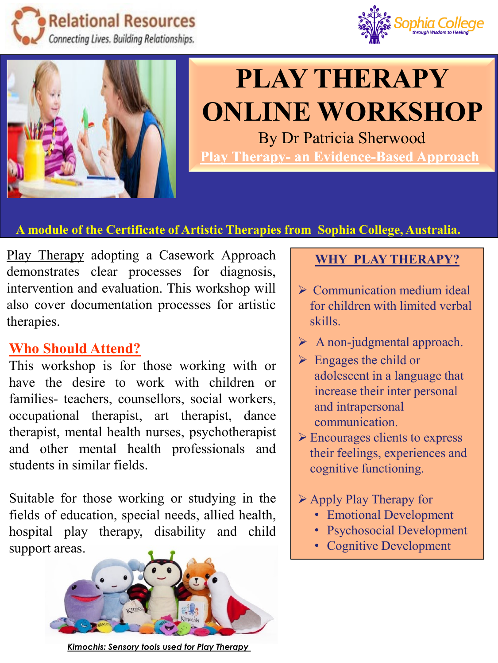





# **PLAY THERAPY ONLINE WORKSHOP**

By Dr Patricia Sherwood **Play Therapy- an Evidence-Based Approach**

### **A module of the Certificate of Artistic Therapies from Sophia College, Australia.**

Play Therapy adopting a Casework Approach demonstrates clear processes for diagnosis, intervention and evaluation. This workshop will also cover documentation processes for artistic therapies.

## **Who Should Attend?**

This workshop is for those working with or have the desire to work with children or families- teachers, counsellors, social workers, occupational therapist, art therapist, dance therapist, mental health nurses, psychotherapist and other mental health professionals and students in similar fields.

Suitable for those working or studying in the fields of education, special needs, allied health, hospital play therapy, disability and child support areas.



*Kimochis: Sensory tools used for Play Therapy* 

## **WHY PLAY THERAPY?**

- $\triangleright$  Communication medium ideal for children with limited verbal skills.
- ➢ A non-judgmental approach.
- $\triangleright$  Engages the child or adolescent in a language that increase their inter personal and intrapersonal communication.
- ➢ Encourages clients to express their feelings, experiences and cognitive functioning.
- ➢ Apply Play Therapy for
	- Emotional Development
	- Psychosocial Development
	- Cognitive Development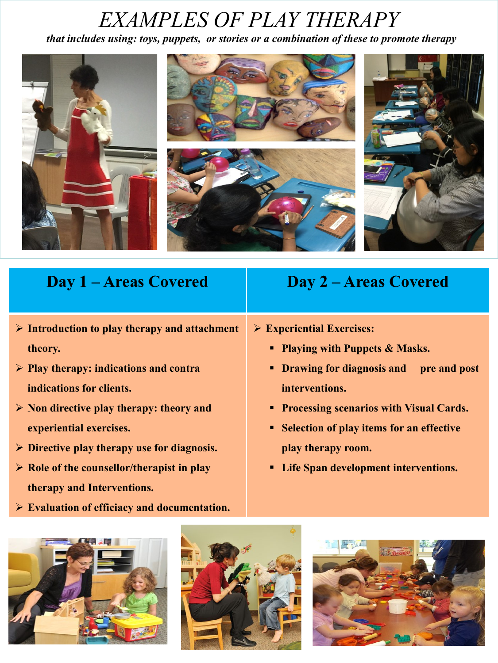## *EXAMPLES OF PLAY THERAPY*

*that includes using: toys, puppets, or stories or a combination of these to promote therapy*



## **Day 1 – Areas Covered Day 2 – Areas Covered**

- ➢ **Introduction to play therapy and attachment theory.**
- ➢ **Play therapy: indications and contra indications for clients.**
- ➢ **Non directive play therapy: theory and experiential exercises.**
- ➢ **Directive play therapy use for diagnosis.**
- ➢ **Role of the counsellor/therapist in play therapy and Interventions.**
- ➢ **Evaluation of efficiacy and documentation.**





➢ **Experiential Exercises:** 

- **Playing with Puppets & Masks.**
- **Drawing for diagnosis and pre and post interventions.**
- **Processing scenarios with Visual Cards.**
- **Selection of play items for an effective play therapy room.**
- **Life Span development interventions.**